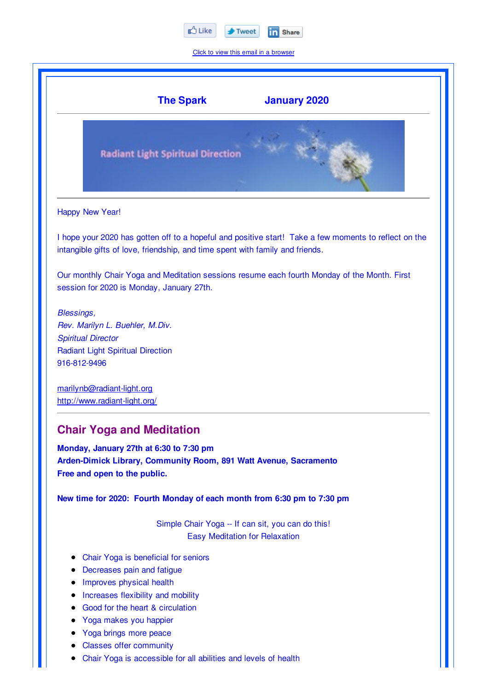

Click to view this email in a browser

|                                                | <b>The Spark</b>                                                                                                                             | <b>January 2020</b>                                                                                   |
|------------------------------------------------|----------------------------------------------------------------------------------------------------------------------------------------------|-------------------------------------------------------------------------------------------------------|
|                                                | <b>Radiant Light Spiritual Direction</b>                                                                                                     |                                                                                                       |
| Happy New Year!                                |                                                                                                                                              |                                                                                                       |
|                                                | intangible gifts of love, friendship, and time spent with family and friends.                                                                | I hope your 2020 has gotten off to a hopeful and positive start! Take a few moments to reflect on the |
|                                                | session for 2020 is Monday, January 27th.                                                                                                    | Our monthly Chair Yoga and Meditation sessions resume each fourth Monday of the Month. First          |
| <b>Blessings,</b><br><b>Spiritual Director</b> | Rev. Marilyn L. Buehler, M.Div.                                                                                                              |                                                                                                       |
| 916-812-9496                                   | <b>Radiant Light Spiritual Direction</b>                                                                                                     |                                                                                                       |
|                                                | marilynb@radiant-light.org<br>http://www.radiant-light.org/                                                                                  |                                                                                                       |
|                                                | <b>Chair Yoga and Meditation</b>                                                                                                             |                                                                                                       |
|                                                | Monday, January 27th at 6:30 to 7:30 pm<br>Arden-Dimick Library, Community Room, 891 Watt Avenue, Sacramento<br>Free and open to the public. |                                                                                                       |
|                                                | New time for 2020: Fourth Monday of each month from 6:30 pm to 7:30 pm                                                                       |                                                                                                       |
|                                                |                                                                                                                                              |                                                                                                       |

- Chair Yoga is beneficial for seniors
- Decreases pain and fatigue
- Improves physical health  $\bullet$
- Increases flexibility and mobility
- Good for the heart & circulation  $\bullet$
- Yoga makes you happier  $\bullet$
- Yoga brings more peace  $\bullet$
- Classes offer community  $\bullet$
- Chair Yoga is accessible for all abilities and levels of health $\bullet$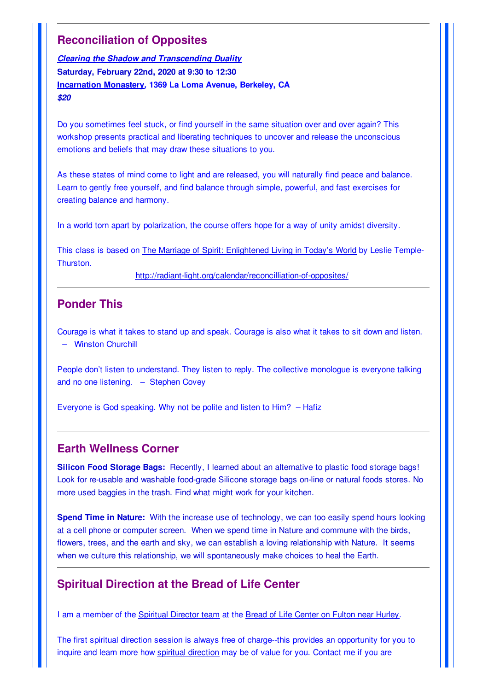## **Reconciliation of Opposites**

*Clearing the Shadow and Transcending Duality* **Saturday, February 22nd, 2020 at 9:30 to 12:30 Incarnation Monastery***,* **1369 La Loma Avenue, Berkeley, CA** *\$20*

Do you sometimes feel stuck, or find yourself in the same situation over and over again? This workshop presents practical and liberating techniques to uncover and release the unconscious emotions and beliefs that may draw these situations to you.

As these states of mind come to light and are released, you will naturally find peace and balance. Learn to gently free yourself, and find balance through simple, powerful, and fast exercises for creating balance and harmony.

In a world torn apart by polarization, the course offers hope for a way of unity amidst diversity.

This class is based on The Marriage of Spirit: Enlightened Living in Today's World by Leslie Temple-Thurston.

http://radiant-light.org/calendar/reconcilliation-of-opposites/

## **Ponder This**

Courage is what it takes to stand up and speak. Courage is also what it takes to sit down and listen. – Winston Churchill

People don't listen to understand. They listen to reply. The collective monologue is everyone talking and no one listening. – Stephen Covey

Everyone is God speaking. Why not be polite and listen to Him? – Hafiz

## **Earth Wellness Corner**

**Silicon Food Storage Bags:** Recently, I learned about an alternative to plastic food storage bags! Look for re-usable and washable food-grade Silicone storage bags on-line or natural foods stores. No more used baggies in the trash. Find what might work for your kitchen.

**Spend Time in Nature:** With the increase use of technology, we can too easily spend hours looking at a cell phone or computer screen. When we spend time in Nature and commune with the birds, flowers, trees, and the earth and sky, we can establish a loving relationship with Nature. It seems when we culture this relationship, we will spontaneously make choices to heal the Earth.

## **Spiritual Direction at the Bread of Life Center**

I am a member of the Spiritual Director team at the Bread of Life Center on Fulton near Hurley.

The first spiritual direction session is always free of charge--this provides an opportunity for you to inquire and learn more how spiritual direction may be of value for you. Contact me if you are